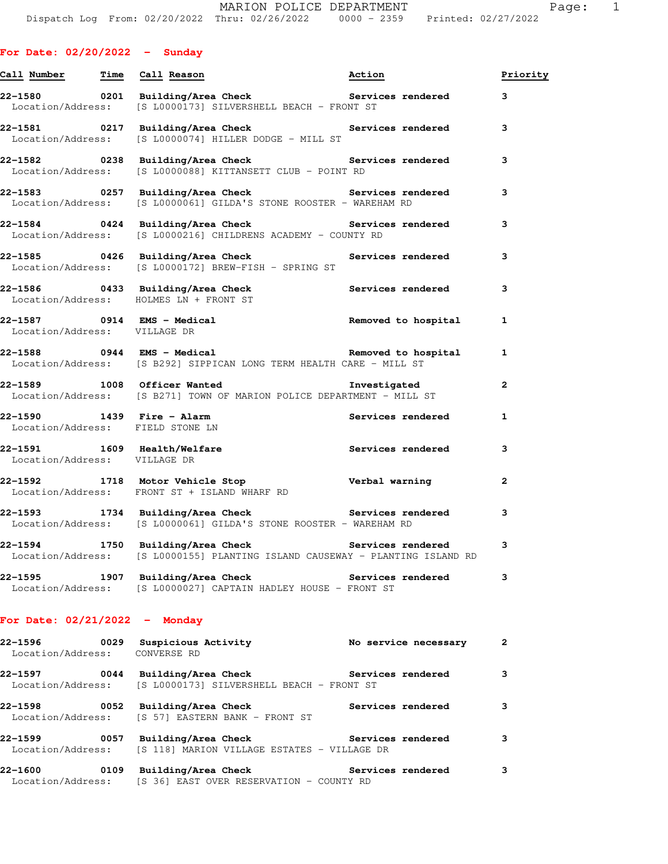| <b>For Date: 02/20/2022</b> |  |  |  |  | Sunday |
|-----------------------------|--|--|--|--|--------|
|-----------------------------|--|--|--|--|--------|

| Call Number Time Call Reason                                  |                                                                                                                                  | Action                   | Priority     |
|---------------------------------------------------------------|----------------------------------------------------------------------------------------------------------------------------------|--------------------------|--------------|
|                                                               | 22-1580 0201 Building/Area Check <b>Services</b> rendered<br>Location/Address: [S L0000173] SILVERSHELL BEACH - FRONT ST         |                          | 3            |
|                                                               | 22-1581 0217 Building/Area Check Services rendered<br>Location/Address: [S L0000074] HILLER DODGE - MILL ST                      |                          | 3            |
|                                                               | 22-1582       0238   Building/Area Check          Services rendered<br>Location/Address: [S L0000088] KITTANSETT CLUB - POINT RD |                          | 3            |
|                                                               | 22-1583 0257 Building/Area Check <b>Services</b> rendered<br>Location/Address: [S L0000061] GILDA'S STONE ROOSTER - WAREHAM RD   |                          | 3            |
|                                                               | 22-1584 0424 Building/Area Check Services rendered<br>Location/Address: [S L0000216] CHILDRENS ACADEMY - COUNTY RD               |                          | 3            |
|                                                               | 22-1585 0426 Building/Area Check <b>Services</b> rendered<br>Location/Address: [S L0000172] BREW-FISH - SPRING ST                |                          | 3            |
|                                                               | 22-1586 0433 Building/Area Check Services rendered<br>Location/Address: HOLMES LN + FRONT ST                                     |                          | 3            |
| 22-1587 0914 EMS - Medical<br>Location/Address: VILLAGE DR    |                                                                                                                                  | Removed to hospital      | 1            |
|                                                               | 22-1588 		 0944 EMS - Medical 		 Removed to hospital<br>Location/Address: [S B292] SIPPICAN LONG TERM HEALTH CARE - MILL ST      |                          | 1            |
|                                                               | 22-1589 1008 Officer Wanted the Investigated<br>Location/Address: [S B271] TOWN OF MARION POLICE DEPARTMENT - MILL ST            |                          | 2            |
| 22-1590 1439 Fire - Alarm<br>Location/Address: FIELD STONE LN |                                                                                                                                  | Services rendered        | $\mathbf{1}$ |
| Location/Address: VILLAGE DR                                  | 22-1591 1609 Health/Welfare                                                                                                      | Services rendered        | 3            |
|                                                               | 22-1592 1718 Motor Vehicle Stop Nerbal warning<br>Location/Address: FRONT ST + ISLAND WHARF RD                                   |                          | 2            |
|                                                               | 22-1593 1734 Building/Area Check Services rendered<br>Location/Address: [S L0000061] GILDA'S STONE ROOSTER - WAREHAM RD          |                          | 3            |
|                                                               | Location/Address: [S L0000155] PLANTING ISLAND CAUSEWAY - PLANTING ISLAND RD                                                     |                          | 3            |
| 22–1595                                                       | 1907 Building/Area Check<br>Location/Address: [S L0000027] CAPTAIN HADLEY HOUSE - FRONT ST                                       | <b>Services rendered</b> | 3            |
| For Date: $02/21/2022 -$ Monday                               |                                                                                                                                  |                          |              |
| 22–1596<br>Location/Address: CONVERSE RD                      | 0029 Suspicious Activity                                                                                                         | No service necessary     | 2            |
| 22–1597<br>Location/Address:                                  | 0044 Building/Area Check<br>[S L0000173] SILVERSHELL BEACH - FRONT ST                                                            | Services rendered        | 3            |
| Location/Address:                                             | 22-1598 0052 Building/Area Check<br>[S 57] EASTERN BANK - FRONT ST                                                               | Services rendered        | 3            |

**22-1599 0057 Building/Area Check Services rendered 3**  Location/Address: [S 118] MARION VILLAGE ESTATES - VILLAGE DR

**22-1600 0109 Building/Area Check Services rendered 3**  Location/Address: [S 36] EAST OVER RESERVATION - COUNTY RD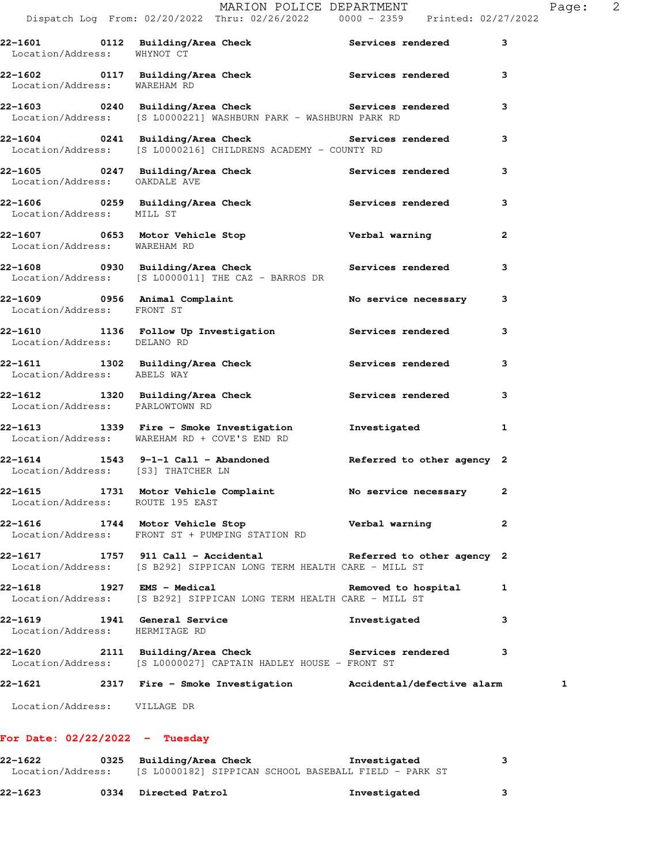| Location/Address: VILLAGE DR                                   |                                                                                                                                      |                            |              |
|----------------------------------------------------------------|--------------------------------------------------------------------------------------------------------------------------------------|----------------------------|--------------|
|                                                                | 22-1621 2317 Fire - Smoke Investigation Accidental/defective alarm                                                                   |                            |              |
|                                                                | 22-1620 2111 Building/Area Check Services rendered<br>Location/Address: [S L0000027] CAPTAIN HADLEY HOUSE - FRONT ST                 |                            | 3            |
| 22-1619 1941 General Service<br>Location/Address: HERMITAGE RD |                                                                                                                                      | Investigated               | 3            |
| 22-1618 1927 EMS - Medical                                     | Location/Address: [S B292] SIPPICAN LONG TERM HEALTH CARE - MILL ST                                                                  | Removed to hospital        | 1            |
|                                                                | 22-1617 1757 911 Call - Accidental Referred to other agency 2<br>Location/Address: [S B292] SIPPICAN LONG TERM HEALTH CARE - MILL ST |                            |              |
| 22-1616                                                        | 1744 Motor Vehicle Stop<br>Location/Address: FRONT ST + PUMPING STATION RD                                                           | Verbal warning             | $\mathbf{2}$ |
| Location/Address: ROUTE 195 EAST                               | 22-1615 1731 Motor Vehicle Complaint No service necessary                                                                            |                            | $\mathbf{2}$ |
| Location/Address: [S3] THATCHER LN                             | 22-1614 1543 9-1-1 Call - Abandoned                                                                                                  | Referred to other agency 2 |              |
|                                                                | 22-1613 1339 Fire - Smoke Investigation<br>Location/Address: WAREHAM RD + COVE'S END RD                                              | Investigated               | 1            |
| Location/Address: PARLOWTOWN RD                                | 22-1612 1320 Building/Area Check Services rendered                                                                                   |                            | 3            |
| Location/Address: ABELS WAY                                    | 22-1611 1302 Building/Area Check 1997 Services rendered                                                                              |                            | 3            |
| Location/Address: DELANO RD                                    | 22-1610 1136 Follow Up Investigation Services rendered                                                                               |                            | 3            |
| Location/Address: FRONT ST                                     | 22-1609 0956 Animal Complaint                                                                                                        | No service necessary       | 3            |
|                                                                | 22-1608 1930 Building/Area Check 1988 Services rendered<br>Location/Address: [S L0000011] THE CAZ - BARROS DR                        |                            | 3            |
| Location/Address: WAREHAM RD                                   | 22-1607 0653 Motor Vehicle Stop                                                                                                      | Verbal warning             | $\mathbf{2}$ |
| Location/Address: MILL ST                                      |                                                                                                                                      |                            | 3            |
| Location/Address: OAKDALE AVE                                  | 22-1605 0247 Building/Area Check Services rendered                                                                                   |                            | 3            |
|                                                                | 22-1604 0241 Building/Area Check Services rendered<br>Location/Address: [S L0000216] CHILDRENS ACADEMY - COUNTY RD                   |                            | 3            |
|                                                                | 22-1603 			 0240 Building/Area Check 			 Services rendered<br>Location/Address: [S L0000221] WASHBURN PARK - WASHBURN PARK RD        |                            | 3            |
| Location/Address: WAREHAM RD                                   |                                                                                                                                      |                            | 3            |
| Location/Address: WHYNOT CT                                    | 22-1601 0112 Building/Area Check 5ervices rendered                                                                                   |                            | 3            |

## **22-1622 0325 Building/Area Check Investigated 3**  Location/Address: [S L0000182] SIPPICAN SCHOOL BASEBALL FIELD - PARK ST

| 22-1623<br>0334 Directed Patrol<br>Investigated |  |  |
|-------------------------------------------------|--|--|
|-------------------------------------------------|--|--|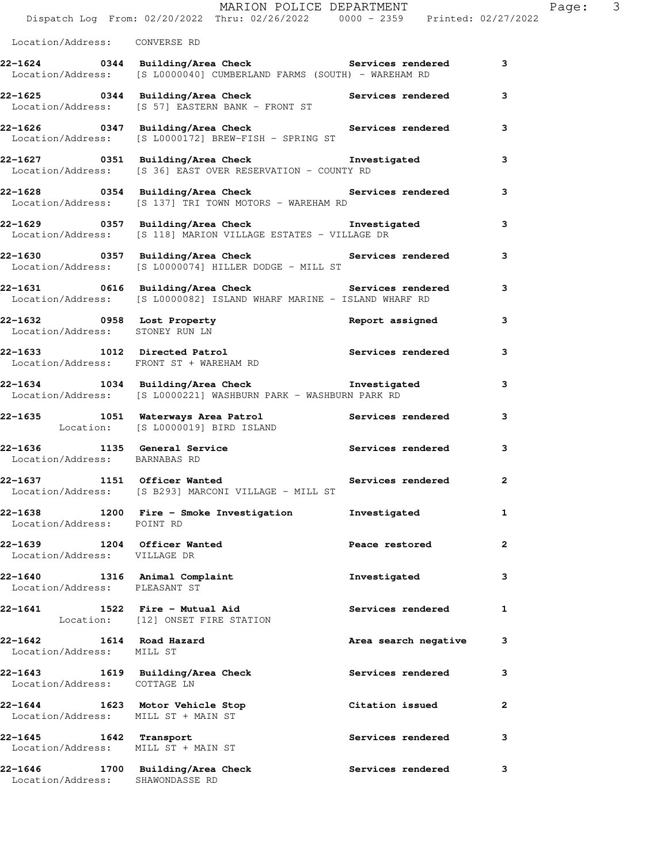|                                                                        | MARION POLICE DEPARTMENT<br>Dispatch Log From: 02/20/2022 Thru: 02/26/2022 0000 - 2359 Printed: 02/27/2022                     |                          | Page: 3      |  |
|------------------------------------------------------------------------|--------------------------------------------------------------------------------------------------------------------------------|--------------------------|--------------|--|
| Location/Address: CONVERSE RD                                          |                                                                                                                                |                          |              |  |
|                                                                        | 22-1624 0344 Building/Area Check 6 Services rendered 3<br>Location/Address: [S L0000040] CUMBERLAND FARMS (SOUTH) - WAREHAM RD |                          |              |  |
|                                                                        | 22-1625 0344 Building/Area Check Services rendered<br>Location/Address: [S 57] EASTERN BANK - FRONT ST                         |                          | 3            |  |
|                                                                        | 22-1626 		 0347 Building/Area Check 		 Services rendered<br>Location/Address: [S L0000172] BREW-FISH - SPRING ST               |                          | 3            |  |
|                                                                        | 22-1627      0351   Building/Area Check           Investigated<br>Location/Address:   [S 36] EAST OVER RESERVATION - COUNTY RD |                          | 3            |  |
|                                                                        | 22-1628 0354 Building/Area Check Services rendered<br>Location/Address: [S 137] TRI TOWN MOTORS - WAREHAM RD                   |                          | 3            |  |
|                                                                        | 22-1629 0357 Building/Area Check Investigated<br>Location/Address: [S 118] MARION VILLAGE ESTATES - VILLAGE DR                 |                          | 3            |  |
|                                                                        | 22-1630 0357 Building/Area Check Services rendered<br>Location/Address: [S L0000074] HILLER DODGE - MILL ST                    |                          | 3            |  |
|                                                                        | 22-1631 0616 Building/Area Check Services rendered 3<br>Location/Address: [S L0000082] ISLAND WHARF MARINE - ISLAND WHARF RD   |                          |              |  |
| Location/Address: STONEY RUN LN                                        | 22-1632 0958 Lost Property                                                                                                     | Report assigned          | 3            |  |
|                                                                        | 22-1633 1012 Directed Patrol 1 Services rendered 3<br>Location/Address: FRONT ST + WAREHAM RD                                  |                          |              |  |
|                                                                        | 22-1634 1034 Building/Area Check <b>The Investigated</b><br>Location/Address: [S L0000221] WASHBURN PARK - WASHBURN PARK RD    |                          | 3            |  |
|                                                                        | 22-1635 1051 Waterways Area Patrol Services rendered<br>Location: [S L0000019] BIRD ISLAND                                     |                          | 3            |  |
| Location/Address: BARNABAS RD                                          | 22-1636 1135 General Service <b>Services</b> Services rendered                                                                 |                          | 3            |  |
|                                                                        | 22-1637 1151 Officer Wanted<br>Location/Address: [S B293] MARCONI VILLAGE - MILL ST                                            | Services rendered        | $\mathbf{2}$ |  |
| Location/Address: POINT RD                                             | 22-1638 1200 Fire - Smoke Investigation                                                                                        | Investigated             | 1            |  |
| 22-1639 1204 Officer Wanted<br>Location/Address: VILLAGE DR            |                                                                                                                                | Peace restored           | 2            |  |
| 22-1640 1316 Animal Complaint<br>Location/Address: PLEASANT ST         |                                                                                                                                | Investigated             | 3            |  |
| 22-1641                                                                | 1522 Fire - Mutual Aid<br>Location: [12] ONSET FIRE STATION                                                                    | <b>Services rendered</b> | $\mathbf{1}$ |  |
| 22-1642 1614 Road Hazard<br>Location/Address: MILL ST                  |                                                                                                                                | Area search negative     | 3            |  |
| 22-1643 1619 Building/Area Check<br>Location/Address: COTTAGE LN       |                                                                                                                                | Services rendered        | 3            |  |
| 22-1644 1623 Motor Vehicle Stop<br>Location/Address: MILL ST + MAIN ST |                                                                                                                                | Citation issued          | $\mathbf{2}$ |  |
| 22-1645 1642 Transport<br>Location/Address: MILL ST + MAIN ST          |                                                                                                                                | Services rendered        | 3            |  |
| Location/Address: SHAWONDASSE RD                                       | 22-1646 1700 Building/Area Check                                                                                               | <b>Services rendered</b> | 3            |  |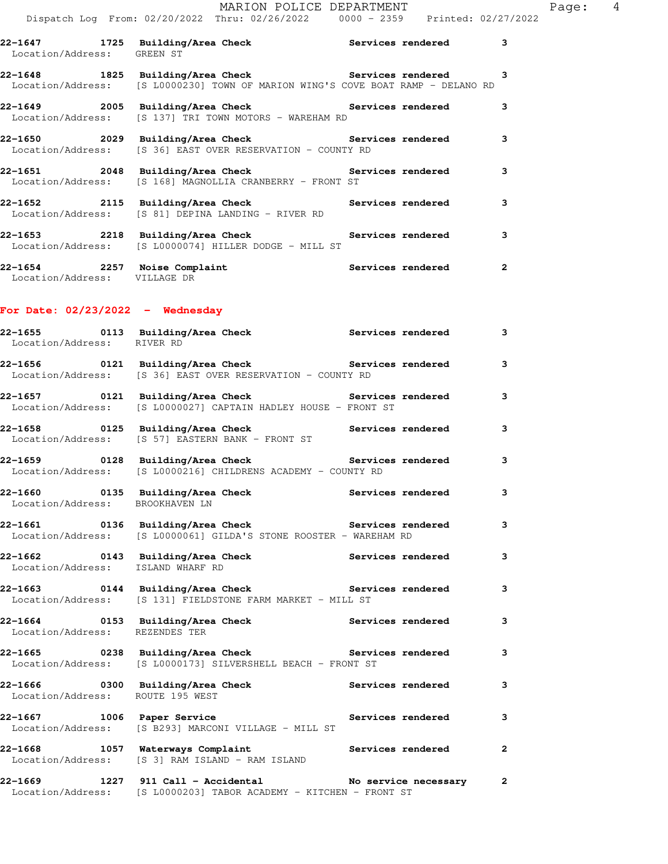|                                                                     |                                                                   | MARION POLICE DEPARTMENT<br>Dispatch Log From: 02/20/2022 Thru: 02/26/2022 0000 - 2359 Printed: 02/27/2022                                                                                        |              | Page: 4 |  |
|---------------------------------------------------------------------|-------------------------------------------------------------------|---------------------------------------------------------------------------------------------------------------------------------------------------------------------------------------------------|--------------|---------|--|
|                                                                     |                                                                   | 22-1647 1725 Building/Area Check <b>Services</b> rendered 3                                                                                                                                       |              |         |  |
| Location/Address: GREEN ST                                          |                                                                   | 22-1648 1825 Building/Area Check <b>Services</b> rendered 3                                                                                                                                       |              |         |  |
|                                                                     |                                                                   | Location/Address: [S L0000230] TOWN OF MARION WING'S COVE BOAT RAMP - DELANO RD<br>22-1649 2005 Building/Area Check Services rendered 3<br>Location/Address: [S 137] TRI TOWN MOTORS - WAREHAM RD |              |         |  |
|                                                                     |                                                                   | 22-1650<br>2029 Building/Area Check Bervices rendered 3<br>Location/Address: [S 36] EAST OVER RESERVATION - COUNTY RD                                                                             |              |         |  |
|                                                                     |                                                                   |                                                                                                                                                                                                   |              |         |  |
|                                                                     |                                                                   | 22-1651  2048  Building/Area Check  Services rendered  3<br>Location/Address: [S 168] MAGNOLLIA CRANBERRY - FRONT ST                                                                              |              |         |  |
|                                                                     |                                                                   | 22-1652<br>Location/Address: [S 81] DEPINA LANDING - RIVER RD<br>Location/Address: [S 81] DEPINA LANDING - RIVER RD                                                                               | 3            |         |  |
|                                                                     |                                                                   | 22-1653 2218 Building/Area Check Services rendered 3<br>Location/Address: [S L0000074] HILLER DODGE - MILL ST                                                                                     |              |         |  |
| Location/Address: VILLAGE DR                                        |                                                                   | 22-1654 2257 Noise Complaint <b>120 Complaint</b> Services rendered                                                                                                                               | $\mathbf{2}$ |         |  |
| For Date: 02/23/2022 - Wednesday                                    |                                                                   |                                                                                                                                                                                                   |              |         |  |
| Location/Address: RIVER RD                                          |                                                                   | 22-1655      0113 Building/Area Check          Services rendered                                                                                                                                  | 3            |         |  |
|                                                                     | Location/Address: [S 36] EAST OVER RESERVATION - COUNTY RD        | 22-1656 0121 Building/Area Check <b>Services</b> rendered 3                                                                                                                                       |              |         |  |
|                                                                     | Location/Address: [S L0000027] CAPTAIN HADLEY HOUSE - FRONT ST    |                                                                                                                                                                                                   | 3            |         |  |
|                                                                     | Location/Address: [S 57] EASTERN BANK - FRONT ST                  | 22-1658 		 0125 Building/Area Check 		 Services rendered 3                                                                                                                                        |              |         |  |
|                                                                     | Location/Address: [S L0000216] CHILDRENS ACADEMY - COUNTY RD      | 22-1659 		 0128 Building/Area Check 		 Services rendered                                                                                                                                          | 3            |         |  |
| 22-1660 0135 Building/Area Check<br>Location/Address: BROOKHAVEN LN |                                                                   | Services rendered                                                                                                                                                                                 | 3            |         |  |
|                                                                     | Location/Address: [S L0000061] GILDA'S STONE ROOSTER - WAREHAM RD | 22-1661 		 0136 Building/Area Check 		 Services rendered                                                                                                                                          | 3            |         |  |
| Location/Address:                                                   | 22-1662 0143 Building/Area Check<br>ISLAND WHARF RD               | Services rendered                                                                                                                                                                                 | 3            |         |  |
|                                                                     | Location/Address: [S 131] FIELDSTONE FARM MARKET - MILL ST        |                                                                                                                                                                                                   | 3            |         |  |
| Location/Address:                                                   | REZENDES TER                                                      | 22-1664       0153   Building/Area Check          Services rendered                                                                                                                               | 3            |         |  |
| Location/Address:                                                   | [S L0000173] SILVERSHELL BEACH - FRONT ST                         | 22-1665 6238 Building/Area Check 5ervices rendered                                                                                                                                                | 3            |         |  |
| 22–1666<br>Location/Address: ROUTE 195 WEST                         | 0300 Building/Area Check                                          | <b>Services rendered</b>                                                                                                                                                                          | 3            |         |  |

**22-1667 1006 Paper Service Services rendered 3**  Location/Address: [S B293] MARCONI VILLAGE - MILL ST **22-1668 1057 Waterways Complaint Services rendered 2** 

Location/Address: [S 3] RAM ISLAND - RAM ISLAND

**22-1669 1227 911 Call - Accidental No service necessary 2**  Location/Address: [S L0000203] TABOR ACADEMY - KITCHEN - FRONT ST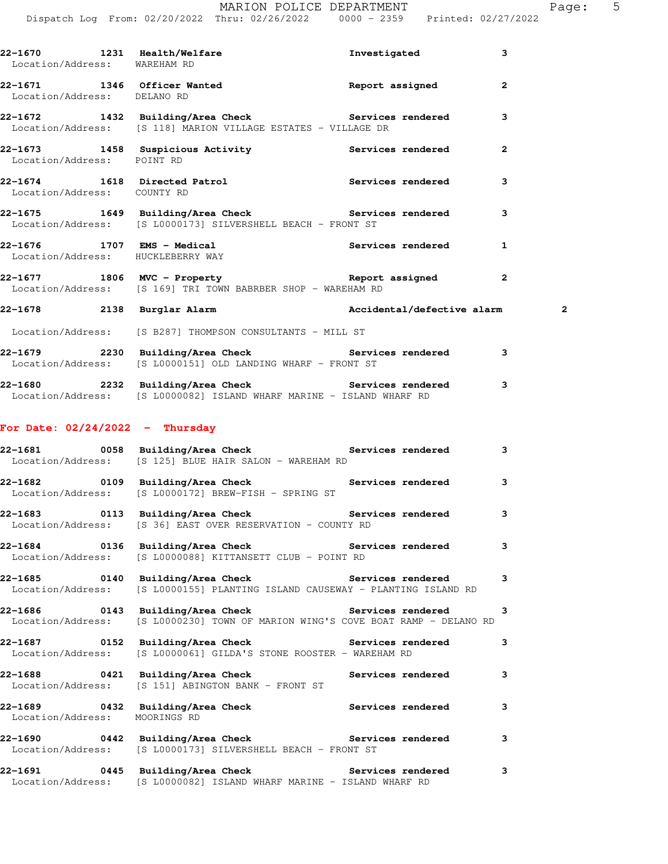**22-1670 1231 Health/Welfare Investigated 3** 

| Location/Address: WAREHAM RD      |                                                                                                                                                   |                          |                |
|-----------------------------------|---------------------------------------------------------------------------------------------------------------------------------------------------|--------------------------|----------------|
| Location/Address: DELANO RD       | 22-1671 1346 Officer Wanted 1997 Report assigned                                                                                                  |                          | 2              |
|                                   | 22-1672 1432 Building/Area Check Services rendered<br>Location/Address: [S 118] MARION VILLAGE ESTATES - VILLAGE DR                               |                          | 3              |
| Location/Address: POINT RD        | 22-1673 1458 Suspicious Activity 1988 Services rendered                                                                                           |                          | $\overline{2}$ |
| Location/Address: COUNTY RD       | 22-1674 1618 Directed Patrol 10 Services rendered                                                                                                 |                          | 3              |
|                                   | 22-1675 1649 Building/Area Check 1988 Services rendered<br>Location/Address: [S L0000173] SILVERSHELL BEACH - FRONT ST                            |                          | 3              |
| Location/Address: HUCKLEBERRY WAY | 22-1676 1707 EMS - Medical Services rendered                                                                                                      |                          | 1              |
|                                   | Location/Address: [S 169] TRI TOWN BABRBER SHOP - WAREHAM RD                                                                                      |                          | $\overline{2}$ |
|                                   | 22-1678 2138 Burglar Alarm 22-1678 Accidental/defective alarm                                                                                     |                          | 2              |
|                                   | Location/Address: [S B287] THOMPSON CONSULTANTS - MILL ST                                                                                         |                          |                |
|                                   | 22-1679 2230 Building/Area Check Services rendered<br>Location/Address: [S L0000151] OLD LANDING WHARF - FRONT ST                                 |                          | 3              |
|                                   | 22-1680 2232 Building/Area Check 22-1680 Services rendered 3<br>Location/Address: [S L0000082] ISLAND WHARF MARINE - ISLAND WHARF RD              |                          |                |
| For Date: $02/24/2022 - Thursday$ |                                                                                                                                                   |                          |                |
|                                   | Location/Address: [S 125] BLUE HAIR SALON - WAREHAM RD                                                                                            |                          |                |
|                                   | Location/Address: [S L0000172] BREW-FISH - SPRING ST                                                                                              |                          | 3              |
|                                   | 22-1683 		 0113 Building/Area Check 		 Services rendered 3<br>Location/Address: [S 36] EAST OVER RESERVATION - COUNTY RD                          |                          |                |
| 22-1684                           | 0136 Building/Area Check<br>Location/Address: [S L0000088] KITTANSETT CLUB - POINT RD                                                             | Services rendered        | 3              |
|                                   | 22-1685      0140  Building/Area Check          Services rendered<br>Location/Address: [S L0000155] PLANTING ISLAND CAUSEWAY - PLANTING ISLAND RD |                          | 3              |
| 22-1686                           | 0143 Building/Area Check Services rendered<br>Location/Address: [S L0000230] TOWN OF MARION WING'S COVE BOAT RAMP - DELANO RD                     |                          | 3              |
| Location/Address:                 | [S L0000061] GILDA'S STONE ROOSTER - WAREHAM RD                                                                                                   |                          | 3              |
| Location/Address:                 | 22-1688 6421 Building/Area Check 5ervices rendered<br>[S 151] ABINGTON BANK - FRONT ST                                                            |                          | 3              |
| Location/Address:                 | 22-1689 0432 Building/Area Check<br>MOORINGS RD                                                                                                   | <b>Services rendered</b> | 3              |
| Location/Address:                 | 22-1690       0442  Building/Area Check          Services rendered<br>[S L0000173] SILVERSHELL BEACH - FRONT ST                                   |                          | 3              |
| 22-1691                           | 0445 Building/Area Check Services rendered<br>Location/Address: [S L0000082] ISLAND WHARF MARINE - ISLAND WHARF RD                                |                          | 3              |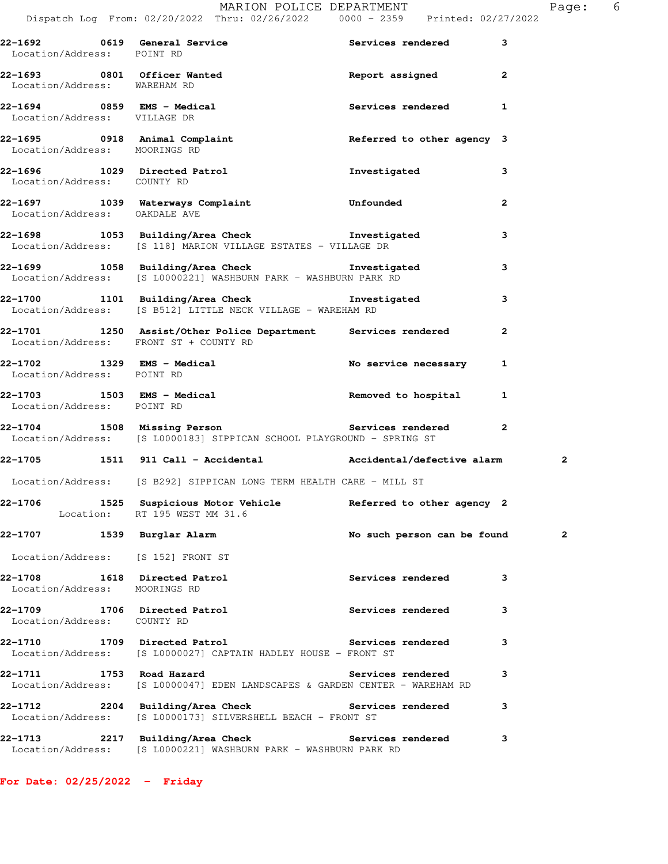| . .<br>– |  |
|----------|--|
|          |  |
|          |  |
|          |  |
|          |  |
|          |  |
|          |  |

|                               | Dispatch Log From: 02/20/2022 Thru: 02/26/2022 0000 - 2359 Printed: 02/27/2022                                            |                             |              |   |
|-------------------------------|---------------------------------------------------------------------------------------------------------------------------|-----------------------------|--------------|---|
| Location/Address: POINT RD    | 22-1692 0619 General Service 20 Services rendered 3                                                                       |                             |              |   |
| Location/Address: WAREHAM RD  | 22-1693 0801 Officer Wanted <b>1988 Report assigned</b> 2                                                                 |                             |              |   |
|                               | 22-1694 0859 EMS - Medical<br>Location/Address: VILLAGE DR                                                                | Services rendered 1         |              |   |
| Location/Address: MOORINGS RD | 22-1695 0918 Animal Complaint 1997 Referred to other agency 3                                                             |                             |              |   |
| Location/Address: COUNTY RD   | 22-1696 1029 Directed Patrol                                                                                              | Investigated                | 3            |   |
| Location/Address: OAKDALE AVE | 22-1697 1039 Waterways Complaint Communication Unfounded                                                                  |                             | $\mathbf{2}$ |   |
|                               | 22-1698 1053 Building/Area Check 1nvestigated<br>Location/Address: [S 118] MARION VILLAGE ESTATES - VILLAGE DR            |                             | 3            |   |
|                               | 22-1699 1058 Building/Area Check 1nvestigated<br>Location/Address: [S L0000221] WASHBURN PARK - WASHBURN PARK RD          |                             | 3            |   |
|                               | 22-1700 1101 Building/Area Check Investigated<br>Location/Address: [S B512] LITTLE NECK VILLAGE - WAREHAM RD              |                             | 3            |   |
|                               | 22-1701 1250 Assist/Other Police Department Services rendered<br>Location/Address: FRONT ST + COUNTY RD                   |                             | $\mathbf{2}$ |   |
| Location/Address: POINT RD    | 22-1702 1329 EMS - Medical No service necessary 1                                                                         |                             |              |   |
| Location/Address: POINT RD    | 22-1703 1503 EMS - Medical 1 1 Removed to hospital 1                                                                      |                             |              |   |
|                               | 22-1704 1508 Missing Person<br>Location/Address: [S L0000183] SIPPICAN SCHOOL PLAYGROUND - SPRING ST                      |                             | $\mathbf{2}$ |   |
|                               | 22-1705 1511 911 Call - Accidental Maccidental/defective alarm                                                            |                             |              | 2 |
|                               | Location/Address: [S B292] SIPPICAN LONG TERM HEALTH CARE - MILL ST                                                       |                             |              |   |
|                               | 22-1706 1525 Suspicious Motor Vehicle Referred to other agency 2<br>Location: RT 195 WEST MM 31.6                         |                             |              |   |
| 22-1707 1539 Burglar Alarm    |                                                                                                                           | No such person can be found |              | 2 |
|                               | Location/Address: [S 152] FRONT ST                                                                                        |                             |              |   |
| Location/Address: MOORINGS RD | 22-1708 1618 Directed Patrol                                                                                              | <b>Services rendered</b>    | 3            |   |
| Location/Address: COUNTY RD   | 22-1709 1706 Directed Patrol                                                                                              | <b>Services rendered</b>    | 3            |   |
|                               | 22-1710 1709 Directed Patrol 1998 Services rendered<br>Location/Address: [S L0000027] CAPTAIN HADLEY HOUSE - FRONT ST     |                             | 3            |   |
|                               | 22-1711 1753 Road Hazard Services rendered<br>Location/Address: [S L0000047] EDEN LANDSCAPES & GARDEN CENTER - WAREHAM RD |                             | 3            |   |
|                               | 22-1712 2204 Building/Area Check Services rendered<br>Location/Address: [S L0000173] SILVERSHELL BEACH - FRONT ST         |                             | 3            |   |
|                               | 22-1713 2217 Building/Area Check Services rendered<br>Location/Address: [S L0000221] WASHBURN PARK - WASHBURN PARK RD     |                             | 3            |   |

**For Date: 02/25/2022 - Friday**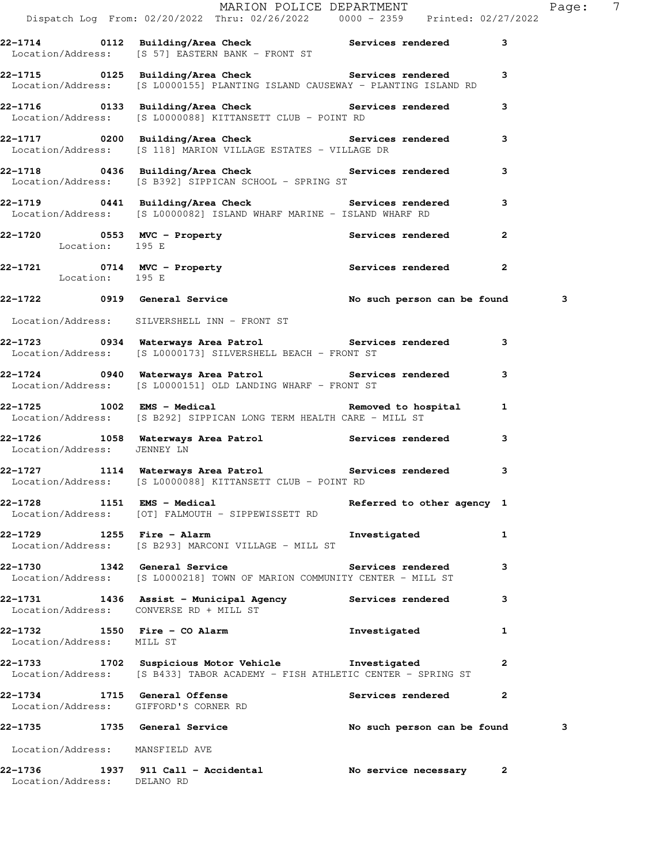|                                                                       | Dispatch Log From: 02/20/2022 Thru: 02/26/2022   0000 - 2359   Printed: 02/27/2022                                                        | MARION POLICE DEPARTMENT    |              | Page: 7 |  |
|-----------------------------------------------------------------------|-------------------------------------------------------------------------------------------------------------------------------------------|-----------------------------|--------------|---------|--|
|                                                                       | 22-1714 		 0112 Building/Area Check 		 Services rendered<br>Location/Address: [S 57] EASTERN BANK - FRONT ST                              |                             | 3            |         |  |
|                                                                       | 22-1715 		 0125 Building/Area Check 		 Services rendered<br>Location/Address: [S L0000155] PLANTING ISLAND CAUSEWAY - PLANTING ISLAND RD  |                             | 3            |         |  |
|                                                                       | 22-1716 0133 Building/Area Check Services rendered<br>Location/Address: [S L0000088] KITTANSETT CLUB - POINT RD                           |                             | 3            |         |  |
|                                                                       | 22-1717 0200 Building/Area Check Services rendered 3<br>Location/Address: [S 118] MARION VILLAGE ESTATES - VILLAGE DR                     |                             |              |         |  |
|                                                                       | 22-1718 0436 Building/Area Check Services rendered 3<br>Location/Address: [S B392] SIPPICAN SCHOOL - SPRING ST                            |                             |              |         |  |
|                                                                       | 22-1719 0441 Building/Area Check Services rendered<br>Location/Address: [S L0000082] ISLAND WHARF MARINE - ISLAND WHARF RD                |                             | 3            |         |  |
| Location: 195 E                                                       | 22-1720 0553 MVC - Property Services rendered 2                                                                                           |                             |              |         |  |
| Location: 195 E                                                       | 22-1721 0714 MVC - Property <b>120 Services</b> rendered                                                                                  |                             | $\mathbf{2}$ |         |  |
|                                                                       | 22-1722 0919 General Service No such person can be found                                                                                  |                             |              | 3       |  |
|                                                                       | Location/Address: SILVERSHELL INN - FRONT ST                                                                                              |                             |              |         |  |
|                                                                       | 22-1723 0934 Waterways Area Patrol Services rendered 3<br>Location/Address: [S L0000173] SILVERSHELL BEACH - FRONT ST                     |                             |              |         |  |
|                                                                       | 22-1724 0940 Waterways Area Patrol Services rendered<br>Location/Address: [S L0000151] OLD LANDING WHARF - FRONT ST                       |                             | 3            |         |  |
|                                                                       | 1 122-1725 1002 EMS - Medical Removed to hospital 1<br>Location/Address: [S B292] SIPPICAN LONG TERM HEALTH CARE - MILL ST                |                             |              |         |  |
| Location/Address: JENNEY LN                                           | 22-1726 1058 Waterways Area Patrol 1988 Services rendered                                                                                 |                             | 3            |         |  |
|                                                                       | 22-1727 1114 Waterways Area Patrol 1114 Services rendered<br>Location/Address: [S L0000088] KITTANSETT CLUB - POINT RD                    |                             | 3            |         |  |
|                                                                       | 22-1728 1151 EMS - Medical<br>Location/Address: [OT] FALMOUTH - SIPPEWISSETT RD                                                           | Referred to other agency 1  |              |         |  |
| 22-1729 1255 Fire - Alarm                                             | Location/Address: [S B293] MARCONI VILLAGE - MILL ST                                                                                      | Investigated                | 1            |         |  |
|                                                                       | 22-1730 1342 General Service<br>Location/Address: [S L0000218] TOWN OF MARION COMMUNITY CENTER - MILL ST                                  | Services rendered           | 3            |         |  |
| Location/Address: CONVERSE RD + MILL ST                               | 22-1731 1436 Assist - Municipal Agency Services rendered                                                                                  |                             | 3            |         |  |
| Location/Address: MILL ST                                             | 22-1732 1550 Fire - CO Alarm Nestigated Investigated                                                                                      |                             | 1            |         |  |
|                                                                       | 22-1733 1702 Suspicious Motor Vehicle <b>1</b> nvestigated<br>Location/Address: [S B433] TABOR ACADEMY - FISH ATHLETIC CENTER - SPRING ST |                             | $\mathbf{2}$ |         |  |
| 22-1734 1715 General Offense<br>Location/Address: GIFFORD'S CORNER RD |                                                                                                                                           | Services rendered           | $\mathbf{2}$ |         |  |
|                                                                       | 22-1735 1735 General Service                                                                                                              | No such person can be found |              | 3       |  |
| Location/Address: MANSFIELD AVE                                       |                                                                                                                                           |                             |              |         |  |
| Location/Address: DELANO RD                                           | 22-1736 1937 911 Call - Accidental                                                                                                        | No service necessary 2      |              |         |  |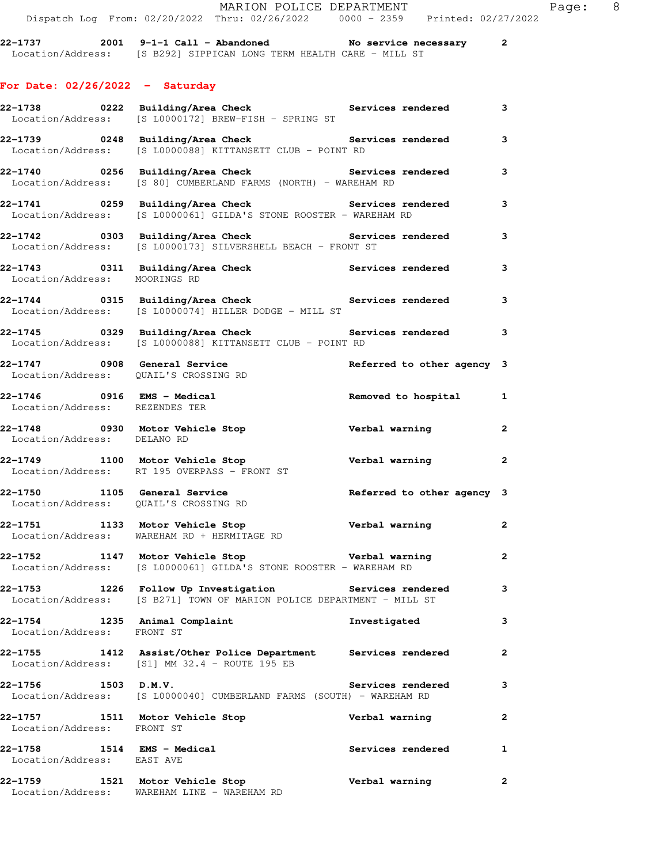**22-1737 2001 9-1-1 Call - Abandoned No service necessary 2**  Location/Address: [S B292] SIPPICAN LONG TERM HEALTH CARE - MILL ST

## **For Date: 02/26/2022 - Saturday**

|                                                                       | 22-1738       0222  Building/Area Check          Services rendered<br>Location/Address: [S L0000172] BREW-FISH - SPRING ST           |                            | 3              |
|-----------------------------------------------------------------------|--------------------------------------------------------------------------------------------------------------------------------------|----------------------------|----------------|
|                                                                       | 22-1739       0248  Building/Area Check          Services rendered<br>Location/Address: [S L0000088] KITTANSETT CLUB - POINT RD      |                            | 3              |
|                                                                       | 22-1740      0256 Building/Area Check         Services rendered<br>Location/Address: [S 80] CUMBERLAND FARMS (NORTH) - WAREHAM RD    |                            | 3              |
|                                                                       | 22-1741 6259 Building/Area Check the Services rendered<br>Location/Address: [S L0000061] GILDA'S STONE ROOSTER - WAREHAM RD          |                            | 3              |
|                                                                       | 22-1742 		 0303 Building/Area Check 		 Services rendered<br>Location/Address: [S L0000173] SILVERSHELL BEACH - FRONT ST              |                            | 3              |
| Location/Address: MOORINGS RD                                         | 22-1743 0311 Building/Area Check Services rendered                                                                                   |                            | 3              |
|                                                                       | 22-1744 		 0315 Building/Area Check 		 Services rendered<br>Location/Address: [S L0000074] HILLER DODGE - MILL ST                    |                            | 3              |
|                                                                       | 22-1745      0329  Building/Area Check          Services rendered     3<br>Location/Address: [S L0000088] KITTANSETT CLUB - POINT RD |                            |                |
| 22-1747 0908 General Service<br>Location/Address: QUAIL'S CROSSING RD |                                                                                                                                      | Referred to other agency 3 |                |
| 22-1746 0916 EMS - Medical<br>Location/Address: REZENDES TER          |                                                                                                                                      | Removed to hospital 1      |                |
| Location/Address: DELANO RD                                           | 22-1748 0930 Motor Vehicle Stop                                                                                                      | Verbal warning             | $\overline{a}$ |
|                                                                       | 22-1749 1100 Motor Vehicle Stop                                                                                                      |                            |                |
|                                                                       | Location/Address: RT 195 OVERPASS - FRONT ST                                                                                         | Verbal warning and 2       |                |
| Location/Address: QUAIL'S CROSSING RD                                 | 22-1750 1105 General Service<br>Ligation (Address: OUAILLS CROSSING RD                                                               | Referred to other agency 3 |                |
|                                                                       | 22-1751 1133 Motor Vehicle Stop<br>Location/Address: WAREHAM RD + HERMITAGE RD                                                       | Verbal warning             | $\mathbf{2}$   |
|                                                                       | 22-1752 1147 Motor Vehicle Stop Nerbal warning 2<br>Location/Address: [S L0000061] GILDA'S STONE ROOSTER - WAREHAM RD                |                            |                |
|                                                                       | 22-1753 1226 Follow Up Investigation Services rendered 3<br>Location/Address: [S B271] TOWN OF MARION POLICE DEPARTMENT - MILL ST    |                            |                |
| 22-1754 1235 Animal Complaint<br>Location/Address: FRONT ST           |                                                                                                                                      | Investigated               | 3              |
| 22–1755                                                               | 1412 Assist/Other Police Department Services rendered<br>Location/Address: [S1] MM 32.4 - ROUTE 195 EB                               |                            | $\mathbf{2}$   |
| $22-1756$ 1503 D.M.V.                                                 | Location/Address: [S L0000040] CUMBERLAND FARMS (SOUTH) - WAREHAM RD                                                                 | <b>Services rendered</b>   | 3              |
| 22–1757<br>Location/Address: FRONT ST                                 | 1511 Motor Vehicle Stop                                                                                                              | Verbal warning             | $\mathbf{2}$   |
| 22-1758 1514 EMS - Medical<br>Location/Address: EAST AVE              |                                                                                                                                      | Services rendered          | 1              |